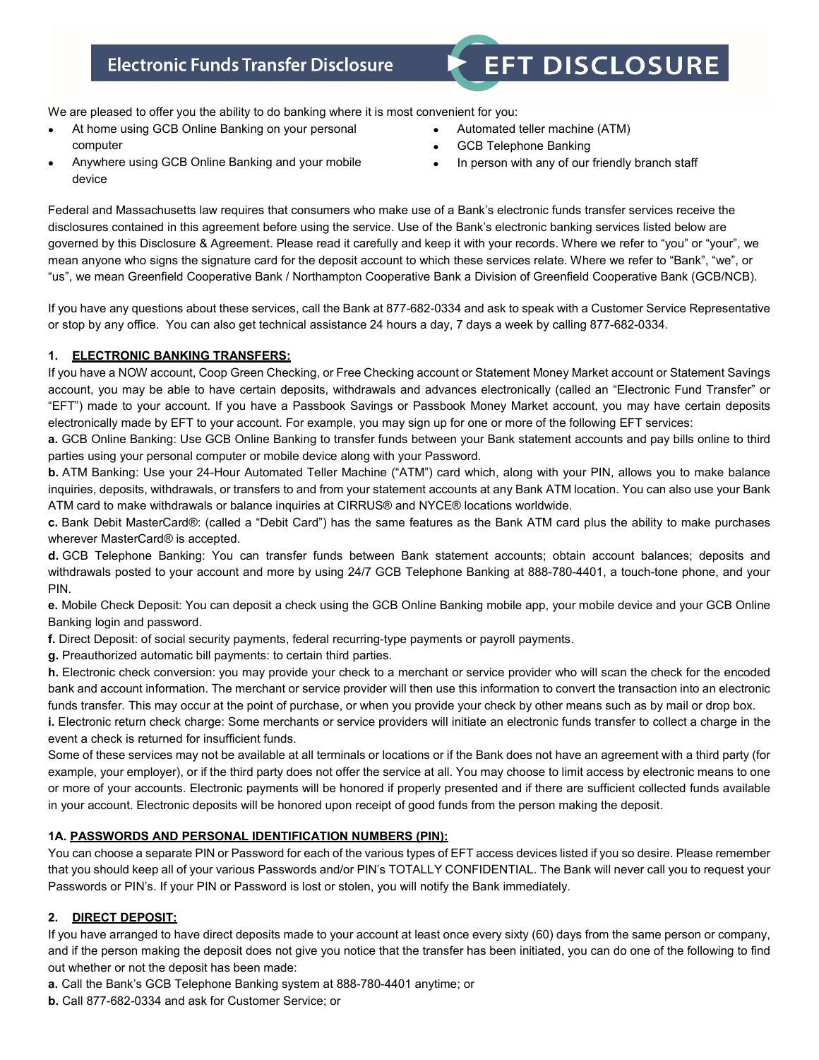# **Electronic Funds Transfer Disclosure**

# **EFT DISCLOSURE**

We are pleased to offer you the ability to do banking where it is most convenient for you:

- At home using GCB Online Banking on your personal computer
- Automated teller machine (ATM)
- **GCB Telephone Banking**
- Anywhere using GCB Online Banking and your mobile In person with any of our friendly branch staff

Federal and Massachusetts law requires that consumers who make use of a Bank's electronic funds transfer services receive the disclosures contained in this agreement before using the service. Use of the Bank's electronic banking services listed below are governed by this Disclosure & Agreement. Please read it carefully and keep it with your records. Where we refer to "you" or "your", we mean anyone who signs the signature card for the deposit account to which these services relate. Where we refer to "Bank", "we", or "us", we mean Greenfield Cooperative Bank / Northampton Cooperative Bank a Division of Greenfield Cooperative Bank (GCB/NCB).

If you have any questions about these services, call the Bank at 877-682-0334 and ask to speak with a Customer Service Representative or stop by any office. You can also get technical assistance 24 hours a day, 7 days a week by calling 877-682-0334.

# **1. ELECTRONIC BANKING TRANSFERS:**

device

If you have a NOW account, Coop Green Checking, or Free Checking account or Statement Money Market account or Statement Savings account, you may be able to have certain deposits, withdrawals and advances electronically (called an "Electronic Fund Transfer" or "EFT") made to your account. If you have a Passbook Savings or Passbook Money Market account, you may have certain deposits electronically made by EFT to your account. For example, you may sign up for one or more of the following EFT services:

**a.** GCB Online Banking: Use GCB Online Banking to transfer funds between your Bank statement accounts and pay bills online to third parties using your personal computer or mobile device along with your Password.

**b.** ATM Banking: Use your 24-Hour Automated Teller Machine ("ATM") card which, along with your PIN, allows you to make balance inquiries, deposits, withdrawals, or transfers to and from your statement accounts at any Bank ATM location. You can also use your Bank ATM card to make withdrawals or balance inquiries at CIRRUS® and NYCE® locations worldwide.

**c.** Bank Debit MasterCard®: (called a "Debit Card") has the same features as the Bank ATM card plus the ability to make purchases wherever MasterCard® is accepted.

**d.** GCB Telephone Banking: You can transfer funds between Bank statement accounts; obtain account balances; deposits and withdrawals posted to your account and more by using 24/7 GCB Telephone Banking at 888-780-4401, a touch-tone phone, and your PIN.

**e.** Mobile Check Deposit: You can deposit a check using the GCB Online Banking mobile app, your mobile device and your GCB Online Banking login and password.

**f.** Direct Deposit: of social security payments, federal recurring-type payments or payroll payments.

**g.** Preauthorized automatic bill payments: to certain third parties.

**h.** Electronic check conversion: you may provide your check to a merchant or service provider who will scan the check for the encoded bank and account information. The merchant or service provider will then use this information to convert the transaction into an electronic funds transfer. This may occur at the point of purchase, or when you provide your check by other means such as by mail or drop box.

**i.** Electronic return check charge: Some merchants or service providers will initiate an electronic funds transfer to collect a charge in the event a check is returned for insufficient funds.

Some of these services may not be available at all terminals or locations or if the Bank does not have an agreement with a third party (for example, your employer), or if the third party does not offer the service at all. You may choose to limit access by electronic means to one or more of your accounts. Electronic payments will be honored if properly presented and if there are sufficient collected funds available in your account. Electronic deposits will be honored upon receipt of good funds from the person making the deposit.

# **1A. PASSWORDS AND PERSONAL IDENTIFICATION NUMBERS (PIN):**

You can choose a separate PIN or Password for each of the various types of EFT access devices listed if you so desire. Please remember that you should keep all of your various Passwords and/or PIN's TOTALLY CONFIDENTIAL. The Bank will never call you to request your Passwords or PIN's. If your PIN or Password is lost or stolen, you will notify the Bank immediately.

# **2. DIRECT DEPOSIT:**

If you have arranged to have direct deposits made to your account at least once every sixty (60) days from the same person or company, and if the person making the deposit does not give you notice that the transfer has been initiated, you can do one of the following to find out whether or not the deposit has been made:

**a.** Call the Bank's GCB Telephone Banking system at 888-780-4401 anytime; or

**b.** Call 877-682-0334 and ask for Customer Service; or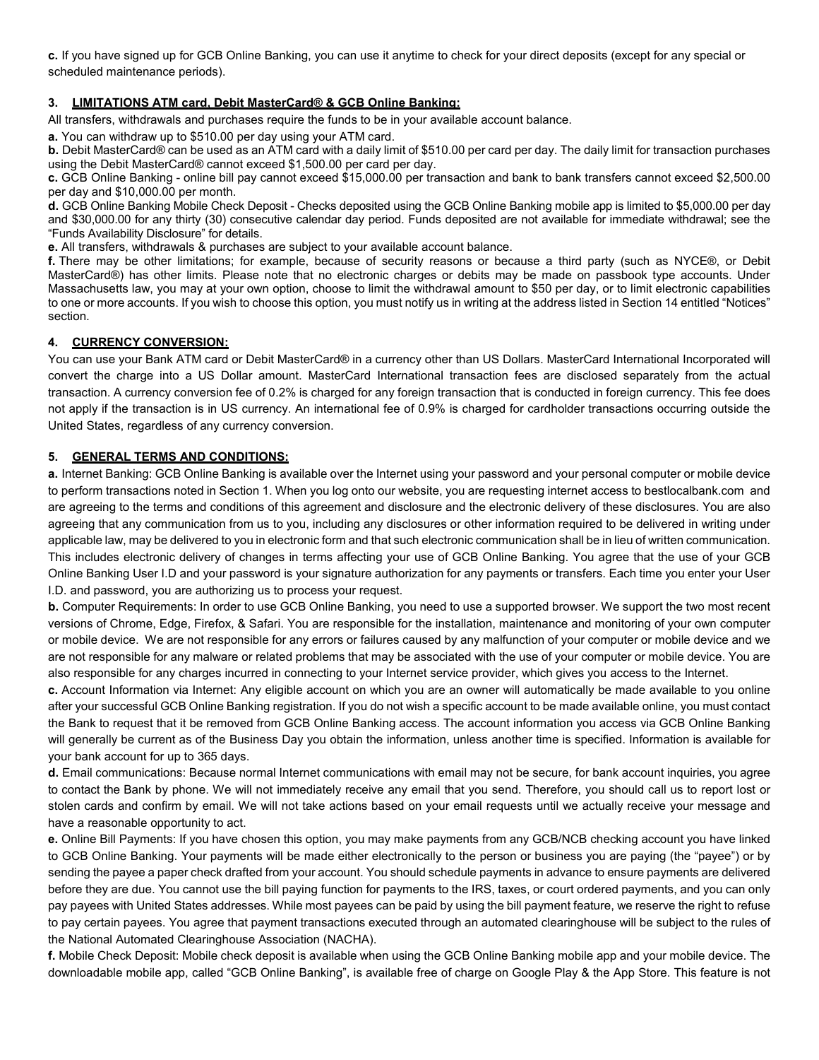**c.** If you have signed up for GCB Online Banking, you can use it anytime to check for your direct deposits (except for any special or scheduled maintenance periods).

# **3. LIMITATIONS ATM card, Debit MasterCard® & GCB Online Banking:**

All transfers, withdrawals and purchases require the funds to be in your available account balance.

**a.** You can withdraw up to \$510.00 per day using your ATM card.

**b.** Debit MasterCard® can be used as an ATM card with a daily limit of \$510.00 per card per day. The daily limit for transaction purchases using the Debit MasterCard® cannot exceed \$1,500.00 per card per day.

**c.** GCB Online Banking - online bill pay cannot exceed \$15,000.00 per transaction and bank to bank transfers cannot exceed \$2,500.00 per day and \$10,000.00 per month.

**d.** GCB Online Banking Mobile Check Deposit - Checks deposited using the GCB Online Banking mobile app is limited to \$5,000.00 per day and \$30,000.00 for any thirty (30) consecutive calendar day period. Funds deposited are not available for immediate withdrawal; see the "Funds Availability Disclosure" for details.

**e.** All transfers, withdrawals & purchases are subject to your available account balance.

**f.** There may be other limitations; for example, because of security reasons or because a third party (such as NYCE®, or Debit MasterCard®) has other limits. Please note that no electronic charges or debits may be made on passbook type accounts. Under Massachusetts law, you may at your own option, choose to limit the withdrawal amount to \$50 per day, or to limit electronic capabilities to one or more accounts. If you wish to choose this option, you must notify us in writing at the address listed in Section 14 entitled "Notices" section.

#### **4. CURRENCY CONVERSION:**

You can use your Bank ATM card or Debit MasterCard® in a currency other than US Dollars. MasterCard International Incorporated will convert the charge into a US Dollar amount. MasterCard International transaction fees are disclosed separately from the actual transaction. A currency conversion fee of 0.2% is charged for any foreign transaction that is conducted in foreign currency. This fee does not apply if the transaction is in US currency. An international fee of 0.9% is charged for cardholder transactions occurring outside the United States, regardless of any currency conversion.

#### **5. GENERAL TERMS AND CONDITIONS:**

**a.** Internet Banking: GCB Online Banking is available over the Internet using your password and your personal computer or mobile device to perform transactions noted in Section 1. When you log onto our website, you are requesting internet access to bestlocalbank.com and are agreeing to the terms and conditions of this agreement and disclosure and the electronic delivery of these disclosures. You are also agreeing that any communication from us to you, including any disclosures or other information required to be delivered in writing under applicable law, may be delivered to you in electronic form and that such electronic communication shall be in lieu of written communication. This includes electronic delivery of changes in terms affecting your use of GCB Online Banking. You agree that the use of your GCB Online Banking User I.D and your password is your signature authorization for any payments or transfers. Each time you enter your User I.D. and password, you are authorizing us to process your request.

**b.** Computer Requirements: In order to use GCB Online Banking, you need to use a supported browser. We support the two most recent versions of Chrome, Edge, Firefox, & Safari. You are responsible for the installation, maintenance and monitoring of your own computer or mobile device. We are not responsible for any errors or failures caused by any malfunction of your computer or mobile device and we are not responsible for any malware or related problems that may be associated with the use of your computer or mobile device. You are also responsible for any charges incurred in connecting to your Internet service provider, which gives you access to the Internet.

**c.** Account Information via Internet: Any eligible account on which you are an owner will automatically be made available to you online after your successful GCB Online Banking registration. If you do not wish a specific account to be made available online, you must contact the Bank to request that it be removed from GCB Online Banking access. The account information you access via GCB Online Banking will generally be current as of the Business Day you obtain the information, unless another time is specified. Information is available for your bank account for up to 365 days.

**d.** Email communications: Because normal Internet communications with email may not be secure, for bank account inquiries, you agree to contact the Bank by phone. We will not immediately receive any email that you send. Therefore, you should call us to report lost or stolen cards and confirm by email. We will not take actions based on your email requests until we actually receive your message and have a reasonable opportunity to act.

**e.** Online Bill Payments: If you have chosen this option, you may make payments from any GCB/NCB checking account you have linked to GCB Online Banking. Your payments will be made either electronically to the person or business you are paying (the "payee") or by sending the payee a paper check drafted from your account. You should schedule payments in advance to ensure payments are delivered before they are due. You cannot use the bill paying function for payments to the IRS, taxes, or court ordered payments, and you can only pay payees with United States addresses. While most payees can be paid by using the bill payment feature, we reserve the right to refuse to pay certain payees. You agree that payment transactions executed through an automated clearinghouse will be subject to the rules of the National Automated Clearinghouse Association (NACHA).

**f.** Mobile Check Deposit: Mobile check deposit is available when using the GCB Online Banking mobile app and your mobile device. The downloadable mobile app, called "GCB Online Banking", is available free of charge on Google Play & the App Store. This feature is not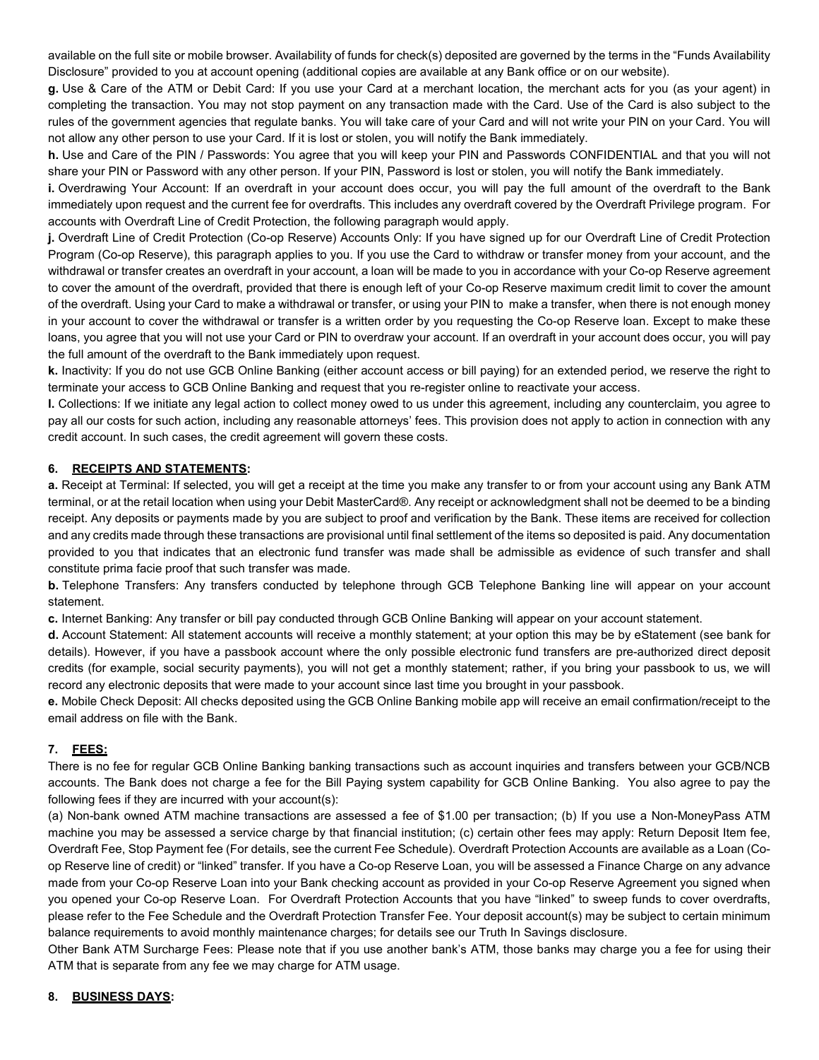available on the full site or mobile browser. Availability of funds for check(s) deposited are governed by the terms in the "Funds Availability Disclosure" provided to you at account opening (additional copies are available at any Bank office or on our website).

**g.** Use & Care of the ATM or Debit Card: If you use your Card at a merchant location, the merchant acts for you (as your agent) in completing the transaction. You may not stop payment on any transaction made with the Card. Use of the Card is also subject to the rules of the government agencies that regulate banks. You will take care of your Card and will not write your PIN on your Card. You will not allow any other person to use your Card. If it is lost or stolen, you will notify the Bank immediately.

**h.** Use and Care of the PIN / Passwords: You agree that you will keep your PIN and Passwords CONFIDENTIAL and that you will not share your PIN or Password with any other person. If your PIN, Password is lost or stolen, you will notify the Bank immediately.

**i.** Overdrawing Your Account: If an overdraft in your account does occur, you will pay the full amount of the overdraft to the Bank immediately upon request and the current fee for overdrafts. This includes any overdraft covered by the Overdraft Privilege program. For accounts with Overdraft Line of Credit Protection, the following paragraph would apply.

**j.** Overdraft Line of Credit Protection (Co-op Reserve) Accounts Only: If you have signed up for our Overdraft Line of Credit Protection Program (Co-op Reserve), this paragraph applies to you. If you use the Card to withdraw or transfer money from your account, and the withdrawal or transfer creates an overdraft in your account, a loan will be made to you in accordance with your Co-op Reserve agreement to cover the amount of the overdraft, provided that there is enough left of your Co-op Reserve maximum credit limit to cover the amount of the overdraft. Using your Card to make a withdrawal or transfer, or using your PIN to make a transfer, when there is not enough money in your account to cover the withdrawal or transfer is a written order by you requesting the Co-op Reserve loan. Except to make these loans, you agree that you will not use your Card or PIN to overdraw your account. If an overdraft in your account does occur, you will pay the full amount of the overdraft to the Bank immediately upon request.

**k.** Inactivity: If you do not use GCB Online Banking (either account access or bill paying) for an extended period, we reserve the right to terminate your access to GCB Online Banking and request that you re-register online to reactivate your access.

**l.** Collections: If we initiate any legal action to collect money owed to us under this agreement, including any counterclaim, you agree to pay all our costs for such action, including any reasonable attorneys' fees. This provision does not apply to action in connection with any credit account. In such cases, the credit agreement will govern these costs.

# **6. RECEIPTS AND STATEMENTS:**

**a.** Receipt at Terminal: If selected, you will get a receipt at the time you make any transfer to or from your account using any Bank ATM terminal, or at the retail location when using your Debit MasterCard®. Any receipt or acknowledgment shall not be deemed to be a binding receipt. Any deposits or payments made by you are subject to proof and verification by the Bank. These items are received for collection and any credits made through these transactions are provisional until final settlement of the items so deposited is paid. Any documentation provided to you that indicates that an electronic fund transfer was made shall be admissible as evidence of such transfer and shall constitute prima facie proof that such transfer was made.

**b.** Telephone Transfers: Any transfers conducted by telephone through GCB Telephone Banking line will appear on your account statement.

**c.** Internet Banking: Any transfer or bill pay conducted through GCB Online Banking will appear on your account statement.

**d.** Account Statement: All statement accounts will receive a monthly statement; at your option this may be by eStatement (see bank for details). However, if you have a passbook account where the only possible electronic fund transfers are pre-authorized direct deposit credits (for example, social security payments), you will not get a monthly statement; rather, if you bring your passbook to us, we will record any electronic deposits that were made to your account since last time you brought in your passbook.

**e.** Mobile Check Deposit: All checks deposited using the GCB Online Banking mobile app will receive an email confirmation/receipt to the email address on file with the Bank.

# **7. FEES:**

There is no fee for regular GCB Online Banking banking transactions such as account inquiries and transfers between your GCB/NCB accounts. The Bank does not charge a fee for the Bill Paying system capability for GCB Online Banking. You also agree to pay the following fees if they are incurred with your account(s):

(a) Non-bank owned ATM machine transactions are assessed a fee of \$1.00 per transaction; (b) If you use a Non-MoneyPass ATM machine you may be assessed a service charge by that financial institution; (c) certain other fees may apply: Return Deposit Item fee, Overdraft Fee, Stop Payment fee (For details, see the current Fee Schedule). Overdraft Protection Accounts are available as a Loan (Coop Reserve line of credit) or "linked" transfer. If you have a Co-op Reserve Loan, you will be assessed a Finance Charge on any advance made from your Co-op Reserve Loan into your Bank checking account as provided in your Co-op Reserve Agreement you signed when you opened your Co-op Reserve Loan. For Overdraft Protection Accounts that you have "linked" to sweep funds to cover overdrafts, please refer to the Fee Schedule and the Overdraft Protection Transfer Fee. Your deposit account(s) may be subject to certain minimum balance requirements to avoid monthly maintenance charges; for details see our Truth In Savings disclosure.

Other Bank ATM Surcharge Fees: Please note that if you use another bank's ATM, those banks may charge you a fee for using their ATM that is separate from any fee we may charge for ATM usage.

# **8. BUSINESS DAYS:**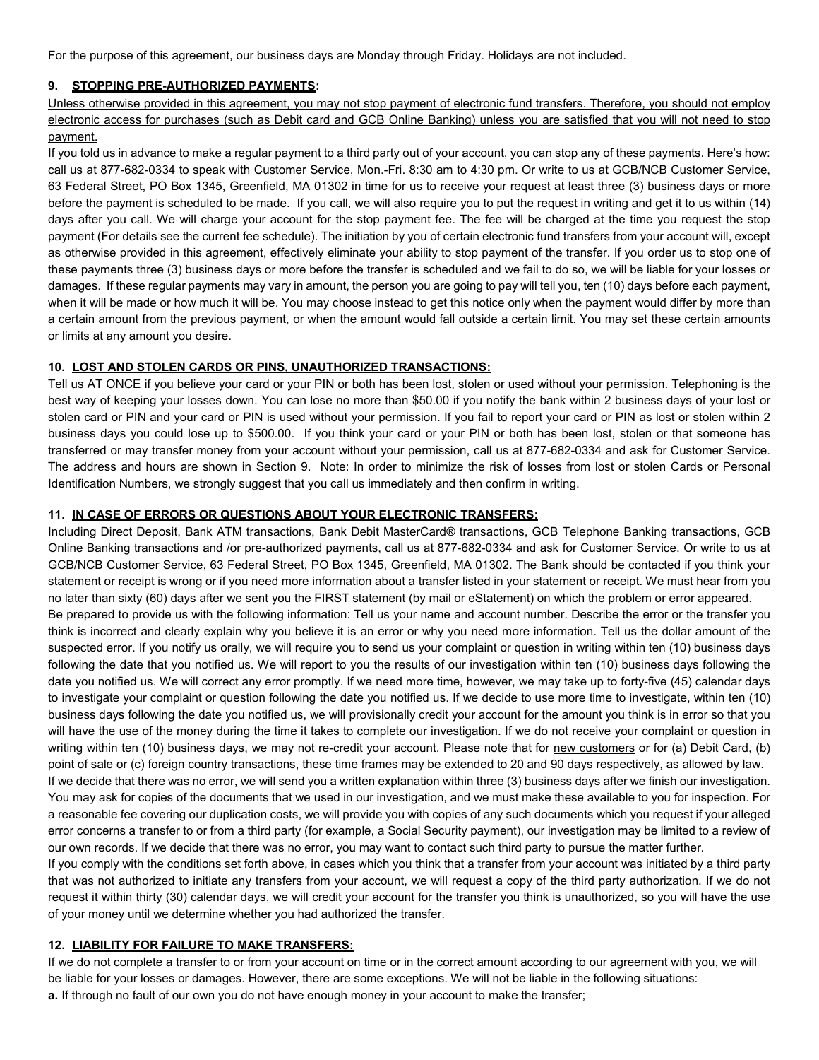For the purpose of this agreement, our business days are Monday through Friday. Holidays are not included.

#### **9. STOPPING PRE-AUTHORIZED PAYMENTS:**

Unless otherwise provided in this agreement, you may not stop payment of electronic fund transfers. Therefore, you should not employ electronic access for purchases (such as Debit card and GCB Online Banking) unless you are satisfied that you will not need to stop payment.

If you told us in advance to make a regular payment to a third party out of your account, you can stop any of these payments. Here's how: call us at 877-682-0334 to speak with Customer Service, Mon.-Fri. 8:30 am to 4:30 pm. Or write to us at GCB/NCB Customer Service, 63 Federal Street, PO Box 1345, Greenfield, MA 01302 in time for us to receive your request at least three (3) business days or more before the payment is scheduled to be made. If you call, we will also require you to put the request in writing and get it to us within (14) days after you call. We will charge your account for the stop payment fee. The fee will be charged at the time you request the stop payment (For details see the current fee schedule). The initiation by you of certain electronic fund transfers from your account will, except as otherwise provided in this agreement, effectively eliminate your ability to stop payment of the transfer. If you order us to stop one of these payments three (3) business days or more before the transfer is scheduled and we fail to do so, we will be liable for your losses or damages. If these regular payments may vary in amount, the person you are going to pay will tell you, ten (10) days before each payment, when it will be made or how much it will be. You may choose instead to get this notice only when the payment would differ by more than a certain amount from the previous payment, or when the amount would fall outside a certain limit. You may set these certain amounts or limits at any amount you desire.

#### **10. LOST AND STOLEN CARDS OR PINS, UNAUTHORIZED TRANSACTIONS:**

Tell us AT ONCE if you believe your card or your PIN or both has been lost, stolen or used without your permission. Telephoning is the best way of keeping your losses down. You can lose no more than \$50.00 if you notify the bank within 2 business days of your lost or stolen card or PIN and your card or PIN is used without your permission. If you fail to report your card or PIN as lost or stolen within 2 business days you could lose up to \$500.00. If you think your card or your PIN or both has been lost, stolen or that someone has transferred or may transfer money from your account without your permission, call us at 877-682-0334 and ask for Customer Service. The address and hours are shown in Section 9. Note: In order to minimize the risk of losses from lost or stolen Cards or Personal Identification Numbers, we strongly suggest that you call us immediately and then confirm in writing.

#### **11. IN CASE OF ERRORS OR QUESTIONS ABOUT YOUR ELECTRONIC TRANSFERS:**

Including Direct Deposit, Bank ATM transactions, Bank Debit MasterCard® transactions, GCB Telephone Banking transactions, GCB Online Banking transactions and /or pre-authorized payments, call us at 877-682-0334 and ask for Customer Service. Or write to us at GCB/NCB Customer Service, 63 Federal Street, PO Box 1345, Greenfield, MA 01302. The Bank should be contacted if you think your statement or receipt is wrong or if you need more information about a transfer listed in your statement or receipt. We must hear from you no later than sixty (60) days after we sent you the FIRST statement (by mail or eStatement) on which the problem or error appeared. Be prepared to provide us with the following information: Tell us your name and account number. Describe the error or the transfer you think is incorrect and clearly explain why you believe it is an error or why you need more information. Tell us the dollar amount of the suspected error. If you notify us orally, we will require you to send us your complaint or question in writing within ten (10) business days following the date that you notified us. We will report to you the results of our investigation within ten (10) business days following the date you notified us. We will correct any error promptly. If we need more time, however, we may take up to forty-five (45) calendar days to investigate your complaint or question following the date you notified us. If we decide to use more time to investigate, within ten (10) business days following the date you notified us, we will provisionally credit your account for the amount you think is in error so that you will have the use of the money during the time it takes to complete our investigation. If we do not receive your complaint or question in writing within ten (10) business days, we may not re-credit your account. Please note that for new customers or for (a) Debit Card, (b) point of sale or (c) foreign country transactions, these time frames may be extended to 20 and 90 days respectively, as allowed by law. If we decide that there was no error, we will send you a written explanation within three (3) business days after we finish our investigation. You may ask for copies of the documents that we used in our investigation, and we must make these available to you for inspection. For

a reasonable fee covering our duplication costs, we will provide you with copies of any such documents which you request if your alleged error concerns a transfer to or from a third party (for example, a Social Security payment), our investigation may be limited to a review of our own records. If we decide that there was no error, you may want to contact such third party to pursue the matter further.

If you comply with the conditions set forth above, in cases which you think that a transfer from your account was initiated by a third party that was not authorized to initiate any transfers from your account, we will request a copy of the third party authorization. If we do not request it within thirty (30) calendar days, we will credit your account for the transfer you think is unauthorized, so you will have the use of your money until we determine whether you had authorized the transfer.

#### **12. LIABILITY FOR FAILURE TO MAKE TRANSFERS:**

If we do not complete a transfer to or from your account on time or in the correct amount according to our agreement with you, we will be liable for your losses or damages. However, there are some exceptions. We will not be liable in the following situations: **a.** If through no fault of our own you do not have enough money in your account to make the transfer;